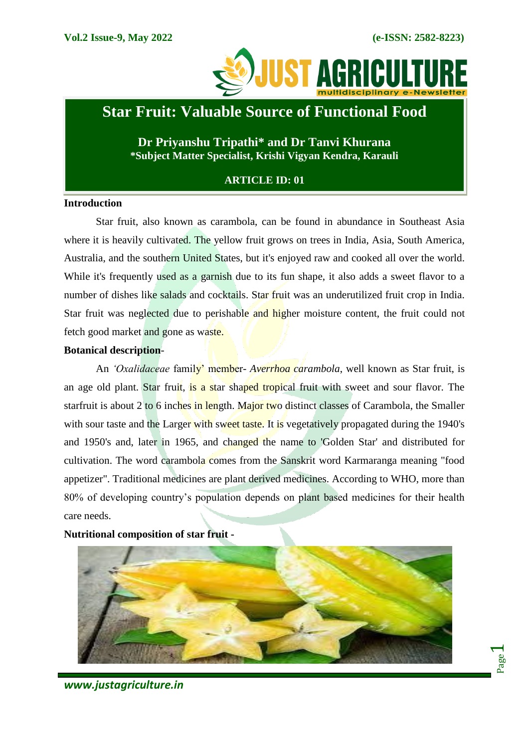Page  $\overline{\phantom{0}}$ 



# **Star Fruit: Valuable Source of Functional Food**

**Dr Priyanshu Tripathi\* and Dr Tanvi Khurana \*Subject Matter Specialist, Krishi Vigyan Kendra, Karauli**

## **ARTICLE ID: 01**

## **Introduction**

Star fruit, also known as carambola, can be found in abundance in Southeast Asia where it is heavily cultivated. The yellow fruit grows on trees in India, Asia, South America, Australia, and the southern United States, but it's enjoyed raw and cooked all over the world. While it's frequently used as a garnish due to its fun shape, it also adds a sweet flavor to a number of dishes like salads and cocktails. Star fruit was an underutilized fruit crop in India. Star fruit was neglected due to perishable and higher moisture content, the fruit could not fetch good market and gone as waste.

## **Botanical description**-

An *'Oxalidaceae* family' member- *Averrhoa carambola*, well known as Star fruit, is an age old plant. Star fruit, is a star shaped tropical fruit with sweet and sour flavor. The starfruit is about 2 to 6 inches in length. Major two distinct classes of Carambola, the Smaller with sour taste and the Larger with sweet taste. It is vegetatively propagated during the 1940's and 1950's and, later in 1965, and changed the name to 'Golden Star' and distributed for cultivation. The word carambola comes from the Sanskrit word Karmaranga meaning "food appetizer". Traditional medicines are plant derived medicines. According to WHO, more than 80% of developing country's population depends on plant based medicines for their health care needs.



#### **Nutritional composition of star fruit -**

*www.justagriculture.in*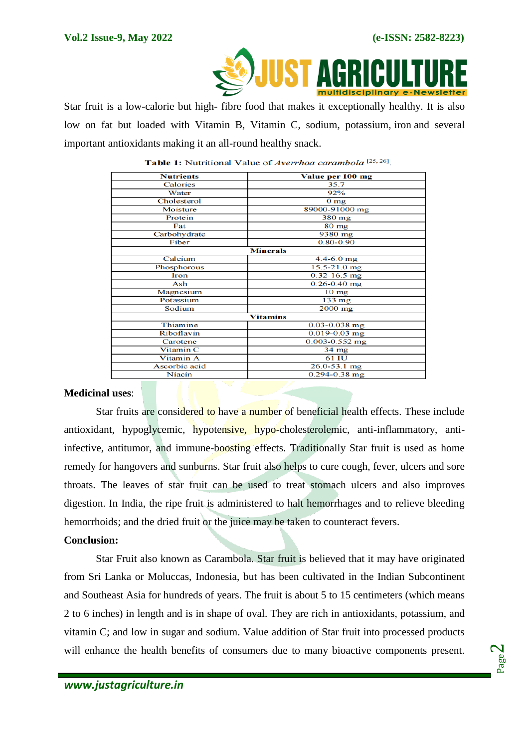

 Star fruit is a low-calorie but high- fibre food that makes it exceptionally healthy. It is also low on fat but loaded with Vitamin B, Vitamin C, sodium, potassium, [iron](https://www.healthifyme.com/blog/11-iron-rich-vegetarian-foods-that-you-must-add-to-your-diet/) and several important antioxidants making it an all-round healthy snack.

| <b>Nutrients</b>     | Value per 100 mg     |
|----------------------|----------------------|
| Calories             | 35.7                 |
| Water                | 92%                  |
| Cholesterol          | 0 <sub>mg</sub>      |
| Moisture             | 89000-91000 mg       |
| Protein              | $380$ mg             |
| Fat                  | 80 mg                |
| Carbohydrate         | $\overline{9380}$ mg |
| Fiber                | $0.80 - 0.90$        |
| <b>Minerals</b>      |                      |
| Calcium              | $4.4 - 6.0$ mg       |
| Phosphorous          | $15.5 - 21.0$ mg     |
| <b>Iron</b>          | $0.32 - 16.5$ mg     |
| Ash                  | $0.26 - 0.40$ mg     |
| Magnesium            | $10 \text{ mg}$      |
| Potassium            | $133 \text{ mg}$     |
| Sodium               | $2000$ mg            |
| <b>Vitamins</b>      |                      |
| Thiamine             | $0.03 - 0.038$ mg    |
| Riboflavin           | $0.019 - 0.03$ mg    |
| Carotene             | $0.003 - 0.552$ mg   |
| Vitamin <sub>C</sub> | $34$ mg              |
| Vitamin A            | 61 IU                |
| Ascorbic acid        | $26.0 - 53.1$ mg     |
| Niacin               | $0.294 - 0.38$ mg    |

Table 1: Nutritional Value of Averrhoa carambola<sup>[25,26]</sup>.

## **Medicinal uses**:

Star fruits are considered to have a number of beneficial health effects. These include antioxidant, hypoglycemic, hypotensive, hypo-cholesterolemic, anti-inflammatory, antiinfective, antitumor, and immune-boosting effects. Traditionally Star fruit is used as home remedy for hangovers and sunburns. Star fruit also helps to cure cough, fever, ulcers and sore throats. The leaves of star fruit can be used to treat stomach ulcers and also improves digestion. In India, the ripe fruit is administered to halt hemorrhages and to relieve bleeding hemorrhoids; and the dried fruit or the juice may be taken to counteract fevers.

#### **Conclusion:**

Star Fruit also known as Carambola. Star fruit is believed that it may have originated from Sri Lanka or Moluccas, Indonesia, but has been cultivated in the Indian Subcontinent and Southeast Asia for hundreds of years. The fruit is about 5 to 15 centimeters (which means 2 to 6 inches) in length and is in shape of oval. They are rich in antioxidants, potassium, and vitamin C; and low in sugar and sodium. Value addition of Star fruit into processed products will enhance the health benefits of consumers due to many bioactive components present.